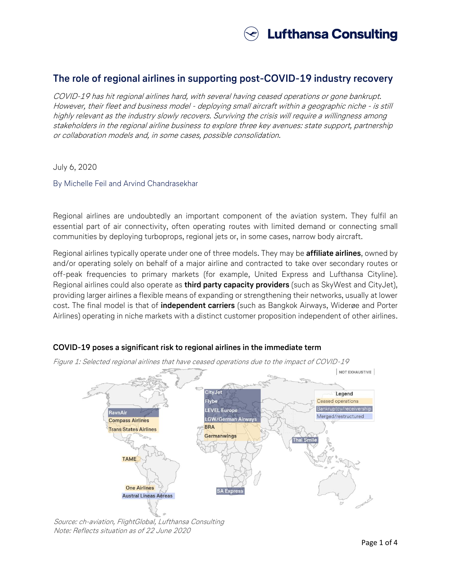

# **The role of regional airlines in supporting post-COVID-19 industry recovery**

COVID-19 has hit regional airlines hard, with several having ceased operations or gone bankrupt. However, their fleet and business model - deploying small aircraft within a geographic niche - is still highly relevant as the industry slowly recovers. Surviving the crisis will require a willingness among stakeholders in the regional airline business to explore three key avenues: state support, partnership or collaboration models and, in some cases, possible consolidation.

July 6, 2020

By Michelle Feil and Arvind Chandrasekhar

Regional airlines are undoubtedly an important component of the aviation system. They fulfil an essential part of air connectivity, often operating routes with limited demand or connecting small communities by deploying turboprops, regional jets or, in some cases, narrow body aircraft.

Regional airlines typically operate under one of three models. They may be **affiliate airlines**, owned by and/or operating solely on behalf of a major airline and contracted to take over secondary routes or off-peak frequencies to primary markets (for example, United Express and Lufthansa Cityline). Regional airlines could also operate as **third party capacity providers** (such as SkyWest and CityJet), providing larger airlines a flexible means of expanding or strengthening their networks, usually at lower cost. The final model is that of **independent carriers** (such as Bangkok Airways, Widerøe and Porter Airlines) operating in niche markets with a distinct customer proposition independent of other airlines.

## **COVID-19 poses a significant risk to regional airlines in the immediate term**



Figure 1: Selected regional airlines that have ceased operations due to the impact of COVID-19

Source: ch-aviation, FlightGlobal, Lufthansa Consulting Note: Reflects situation as of 22 June 2020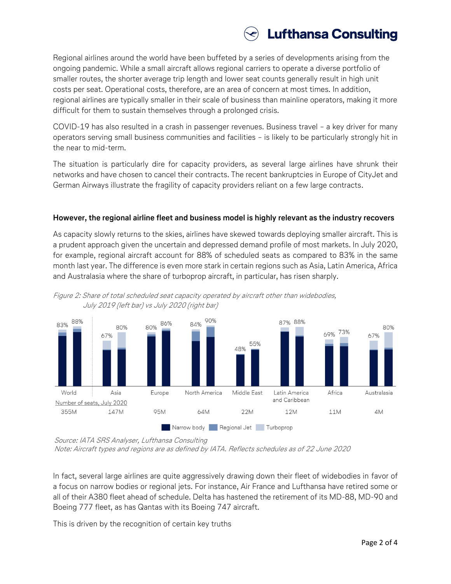

Regional airlines around the world have been buffeted by a series of developments arising from the ongoing pandemic. While a small aircraft allows regional carriers to operate a diverse portfolio of smaller routes, the shorter average trip length and lower seat counts generally result in high unit costs per seat. Operational costs, therefore, are an area of concern at most times. In addition, regional airlines are typically smaller in their scale of business than mainline operators, making it more difficult for them to sustain themselves through a prolonged crisis.

COVID-19 has also resulted in a crash in passenger revenues. Business travel – a key driver for many operators serving small business communities and facilities – is likely to be particularly strongly hit in the near to mid-term.

The situation is particularly dire for capacity providers, as several large airlines have shrunk their networks and have chosen to cancel their contracts. The recent bankruptcies in Europe of CityJet and German Airways illustrate the fragility of capacity providers reliant on a few large contracts.

#### **However, the regional airline fleet and business model is highly relevant as the industry recovers**

As capacity slowly returns to the skies, airlines have skewed towards deploying smaller aircraft. This is a prudent approach given the uncertain and depressed demand profile of most markets. In July 2020, for example, regional aircraft account for 88% of scheduled seats as compared to 83% in the same month last year. The difference is even more stark in certain regions such as Asia, Latin America, Africa and Australasia where the share of turboprop aircraft, in particular, has risen sharply.





Source: IATA SRS Analyser, Lufthansa Consulting

Note: Aircraft types and regions are as defined by IATA. Reflects schedules as of 22 June 2020

In fact, several large airlines are quite aggressively drawing down their fleet of widebodies in favor of a focus on narrow bodies or regional jets. For instance, Air France and Lufthansa have retired some or all of their A380 fleet ahead of schedule. Delta has hastened the retirement of its MD-88, MD-90 and Boeing 777 fleet, as has Qantas with its Boeing 747 aircraft.

This is driven by the recognition of certain key truths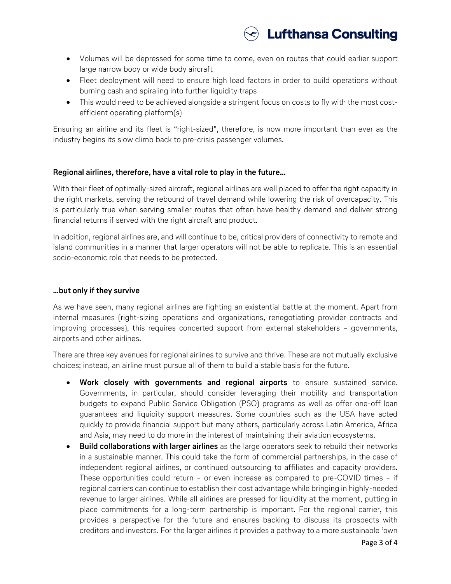

- Volumes will be depressed for some time to come, even on routes that could earlier support large narrow body or wide body aircraft
- Fleet deployment will need to ensure high load factors in order to build operations without burning cash and spiraling into further liquidity traps
- This would need to be achieved alongside a stringent focus on costs to fly with the most costefficient operating platform(s)

Ensuring an airline and its fleet is "right-sized", therefore, is now more important than ever as the industry begins its slow climb back to pre-crisis passenger volumes.

# **Regional airlines, therefore, have a vital role to play in the future…**

With their fleet of optimally-sized aircraft, regional airlines are well placed to offer the right capacity in the right markets, serving the rebound of travel demand while lowering the risk of overcapacity. This is particularly true when serving smaller routes that often have healthy demand and deliver strong financial returns if served with the right aircraft and product.

In addition, regional airlines are, and will continue to be, critical providers of connectivity to remote and island communities in a manner that larger operators will not be able to replicate. This is an essential socio-economic role that needs to be protected.

### **…but only if they survive**

As we have seen, many regional airlines are fighting an existential battle at the moment. Apart from internal measures (right-sizing operations and organizations, renegotiating provider contracts and improving processes), this requires concerted support from external stakeholders – governments, airports and other airlines.

There are three key avenues for regional airlines to survive and thrive. These are not mutually exclusive choices; instead, an airline must pursue all of them to build a stable basis for the future.

- **Work closely with governments and regional airports** to ensure sustained service. Governments, in particular, should consider leveraging their mobility and transportation budgets to expand Public Service Obligation (PSO) programs as well as offer one-off loan guarantees and liquidity support measures. Some countries such as the USA have acted quickly to provide financial support but many others, particularly across Latin America, Africa and Asia, may need to do more in the interest of maintaining their aviation ecosystems.
- **Build collaborations with larger airlines** as the large operators seek to rebuild their networks in a sustainable manner. This could take the form of commercial partnerships, in the case of independent regional airlines, or continued outsourcing to affiliates and capacity providers. These opportunities could return – or even increase as compared to pre-COVID times – if regional carriers can continue to establish their cost advantage while bringing in highly-needed revenue to larger airlines. While all airlines are pressed for liquidity at the moment, putting in place commitments for a long-term partnership is important. For the regional carrier, this provides a perspective for the future and ensures backing to discuss its prospects with creditors and investors. For the larger airlines it provides a pathway to a more sustainable 'own